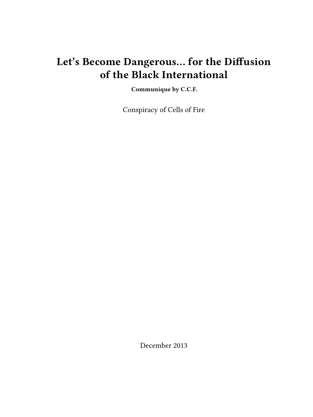# **Let's Become Dangerous… for the Diffusion of the Black International**

**Communique by C.C.F.**

Conspiracy of Cells of Fire

December 2013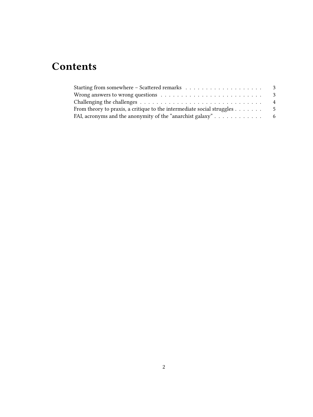# **Contents**

| Wrong answers to wrong questions $\dots \dots \dots \dots \dots \dots \dots \dots \dots$ |                |
|------------------------------------------------------------------------------------------|----------------|
|                                                                                          | $\overline{4}$ |
| From theory to praxis, a critique to the intermediate social struggles $\dots$           | - 5            |
| FAI, acronyms and the anonymity of the "anarchist galaxy" $\dots \dots \dots \dots$      |                |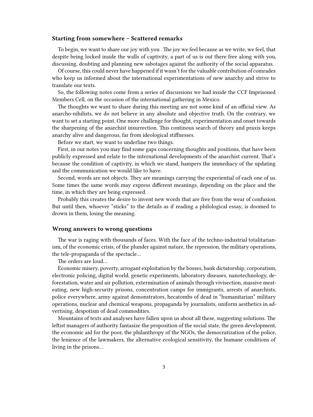### <span id="page-2-0"></span>**Starting from somewhere – Scattered remarks**

To begin, we want to share our joy with you . The joy we feel because as we write, we feel, that despite being locked inside the walls of captivity, a part of us is out there free along with you, discussing, doubting and planning new sabotages against the authority of the social apparatus.

Of course, this could never have happened if it wasn't for the valuable contribution of comrades who keep us informed about the international experimentations of new anarchy and strive to translate our texts.

So, the following notes come from a series of discussions we had inside the CCF Imprisoned Members Cell, on the occasion of the international gathering in Mexico.

The thoughts we want to share during this meeting are not some kind of an official view. As anarcho-nihilists, we do not believe in any absolute and objective truth. On the contrary, we want to set a starting point. One more challenge for thought, experimentation and onset towards the sharpening of the anarchist insurrection. This continous search of theory and praxis keeps anarchy alive and dangerous, far from ideological stiffnesses.

Before we start, we want to underline two things.

First, in our notes you may find some gaps concerning thoughts and positions, that have been publicly expressed and relate to the international developments of the anarchist current. That's because the condition of captivity, in which we stand, hampers the immediacy of the updating and the communication we would like to have.

Second, words are not objects. They are meanings carrying the experiential of each one of us. Some times the same words may express different meanings, depending on the place and the time, in which they are being expressed.

Probably this creates the desire to invent new words that are free from the wear of confusion. But until then, whoever "sticks" to the details as if reading a philological essay, is doomed to drown in them, losing the meaning.

### <span id="page-2-1"></span>**Wrong answers to wrong questions**

The war is raging with thousands of faces. With the face of the techno-industrial totalitarianism, of the economic crisis, of the plunder against nature, the repression, the military operations, the tele-propaganda of the spectacle…

The orders are loud…

Economic misery, poverty, arrogant exploitation by the bosses, bank dictatorship, corporatism, electronic policing, digital world, genetic experiments, laboratory diseases, nanotechnology, deforestation, water and air pollution, extermination of animals through vivisection, massive meateating, new high-security prisons, concentration camps for immigrants, arrests of anarchists, police everywhere, army against demonstrators, hecatombs of dead in "humanitarian" military operations, nuclear and chemical weapons, propaganda by journalists, uniform aesthetics in advertising, despotism of dead commodities.

Mountains of texts and analyses have fallen upon us about all these, suggesting solutions. The leftist managers of authority fantasize the proposition of the social state, the green development, the economic aid for the poor, the philanthropy of the NGOs, the democratization of the police, the lenience of the lawmakers, the alternative ecological sensitivity, the humane conditions of living in the prisons…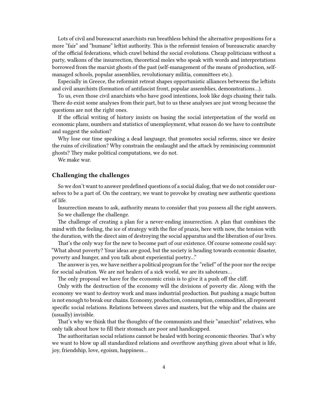Lots of civil and bureaucrat anarchists run breathless behind the alternative propositions for a more "fair" and "humane" leftist authority. This is the reformist tension of bureaucratic anarchy of the official federations, which crawl behind the social evolutions. Cheap politicians without a party, walkons of the insurrection, theoretical moles who speak with words and interpretations borrowed from the marxist ghosts of the past (self-management of the means of production, selfmanaged schools, popular assemblies, revolutionary militia, committees etc.).

Especially in Greece, the reformist retreat shapes opportunistic alliances betweens the leftists and civil anarchists (formation of antifascist front, popular assemblies, demonstrations…).

To us, even those civil anarchists who have good intentions, look like dogs chasing their tails. There do exist some analyses from their part, but to us these analyses are just wrong because the questions are not the right ones.

If the official writing of history insists on basing the social interpretation of the world on economic plans, numbers and statistics of unemployment, what reason do we have to contribute and suggest the solution?

Why lose our time speaking a dead language, that promotes social reforms, since we desire the ruins of civilization? Why constrain the onslaught and the attack by reminiscing communist ghosts? They make political computations, we do not.

We make war.

### <span id="page-3-0"></span>**Challenging the challenges**

So we don't want to answer predefined questions of a social dialog, that we do not consider ourselves to be a part of. On the contrary, we want to provoke by creating new authentic questions of life.

Insurrection means to ask, authority means to consider that you possess all the right answers. So we challenge the challenge.

The challenge of creating a plan for a never-ending insurrection. A plan that combines the mind with the feeling, the ice of strategy with the fire of praxis, here with now, the tension with the duration, with the direct aim of destroying the social apparatus and the liberation of our lives.

That's the only way for the new to become part of our existence. Of course someone could say: "What about poverty? Your ideas are good, but the society is heading towards economic disaster, poverty and hunger, and you talk about experiential poetry…"

The answer is yes, we have neither a political program for the "relief" of the poor nor the recipe for social salvation. We are not healers of a sick world, we are its saboteurs…

The only proposal we have for the economic crisis is to give it a push off the cliff.

Only with the destruction of the economy will the divisions of poverty die. Along with the economy we want to destroy work and mass industrial production. But pushing a magic button is not enough to break our chains. Economy, production, consumption, commodities, all represent specific social relations. Relations between slaves and masters, but the whip and the chains are (usually) invisible.

That's why we think that the thoughts of the communists and their "anarchist" relatives, who only talk about how to fill their stomach are poor and handicapped.

The authoritarian social relations cannot be healed with boring economic theories. That's why we want to blow up all standardized relations and overthrow anything given about what is life, joy, friendship, love, egoism, happiness…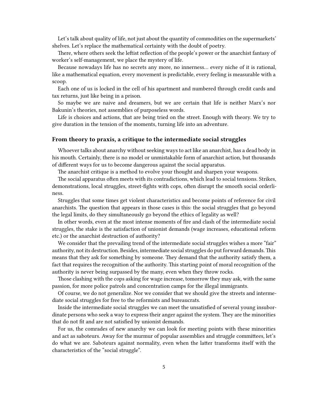Let's talk about quality of life, not just about the quantity of commodities on the supermarkets' shelves. Let's replace the mathematical certainty with the doubt of poetry.

There, where others seek the leftist reflection of the people's power or the anarchist fantasy of worker's self-management, we place the mystery of life.

Because nowadays life has no secrets any more, no innerness… every niche of it is rational, like a mathematical equation, every movement is predictable, every feeling is measurable with a scoop.

Each one of us is locked in the cell of his apartment and numbered through credit cards and tax returns, just like being in a prison.

So maybe we are naive and dreamers, but we are certain that life is neither Marx's nor Bakunin's theories, not assemblies of purposeless words.

Life is choices and actions, that are being tried on the street. Enough with theory. We try to give duration in the tension of the moments, turning life into an adventure.

#### <span id="page-4-0"></span>**From theory to praxis, a critique to the intermediate social struggles**

Whoever talks about anarchy without seeking ways to act like an anarchist, has a dead body in his mouth. Certainly, there is no model or unmistakable form of anarchist action, but thousands of different ways for us to become dangerous against the social apparatus.

The anarchist critique is a method to evolve your thought and sharpen your weapons.

The social apparatus often meets with its contradictions, which lead to social tensions. Strikes, demonstrations, local struggles, street-fights with cops, often disrupt the smooth social orderliness.

Struggles that some times get violent characteristics and become points of reference for civil anarchists. The question that appears in those cases is this: the social struggles that go beyond the legal limits, do they simultaneously go beyond the ethics of legality as well?

In other words, even at the most intense moments of fire and clash of the intermediate social struggles, the stake is the satisfaction of unionist demands (wage increases, educational reform etc.) or the anarchist destruction of authority?

We consider that the prevailing trend of the intermediate social struggles wishes a more "fair" authority, not its destruction. Besides, intermediate social struggles do put forward demands. This means that they ask for something by someone. They demand that the authority satisfy them, a fact that requires the recognition of the authority. This starting point of moral recognition of the authority is never being surpassed by the many, even when they throw rocks.

Those clashing with the cops asking for wage increase, tomorrow they may ask, with the same passion, for more police patrols and concentration camps for the illegal immigrants.

Of course, we do not generalize. Nor we consider that we should give the streets and intermediate social struggles for free to the reformists and bureaucrats.

Inside the intermediate social struggles we can meet the unsatisfied of several young insubordinate persons who seek a way to express their anger against the system. They are the minorities that do not fit and are not satisfied by unionist demands.

For us, the comrades of new anarchy we can look for meeting points with these minorities and act as saboteurs. Away for the murmur of popular assemblies and struggle committees, let's do what we are. Saboteurs against normality, even when the latter transforms itself with the characteristics of the "social struggle".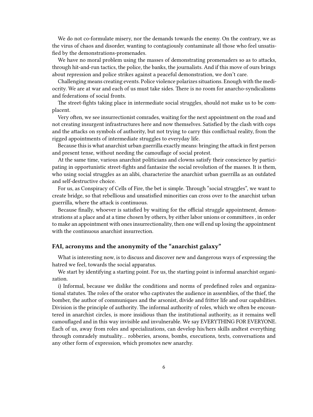We do not co-formulate misery, nor the demands towards the enemy. On the contrary, we as the virus of chaos and disorder, wanting to contagiously contaminate all those who feel unsatisfied by the demonstrations-promenades.

We have no moral problem using the masses of demonstrating promenaders so as to attacks, through hit-and-run tactics, the police, the banks, the journalists. And if this move of ours brings about repression and police strikes against a peaceful demonstration, we don't care.

Challenging means creating events. Police violence polarizes situations. Enough with the mediocrity. We are at war and each of us must take sides. There is no room for anarcho-syndicalisms and federations of social fronts.

The street-fights taking place in intermediate social struggles, should not make us to be complacent.

Very often, we see insurrectionist comrades, waiting for the next appointment on the road and not creating insurgent infrastructures here and now themselves. Satisfied by the clash with cops and the attacks on symbols of authority, but not trying to carry this conflictual reality, from the rigged appointments of intermediate struggles to everyday life.

Because this is what anarchist urban guerrilla exactly means: bringing the attack in first person and present tense, without needing the camouflage of social protest.

At the same time, various anarchist politicians and clowns satisfy their conscience by participating in opportunistic street-fights and fantasize the social revolution of the masses. It is them, who using social struggles as an alibi, characterize the anarchist urban guerrilla as an outdated and self-destructive choice.

For us, as Conspiracy of Cells of Fire, the bet is simple. Through "social struggles", we want to create bridge, so that rebellious and unsatisfied minorities can cross over to the anarchist urban guerrilla, where the attack is continuous.

Because finally, whoever is satisfied by waiting for the official struggle appointment, demonstrations at a place and at a time chosen by others, by either labor unions or committees , in order to make an appointment with ones insurrectionality, then one will end up losing the appointment with the continuous anarchist insurrection.

## <span id="page-5-0"></span>**FAI, acronyms and the anonymity of the "anarchist galaxy"**

What is interesting now, is to discuss and discover new and dangerous ways of expressing the hatred we feel, towards the social apparatus.

We start by identifying a starting point. For us, the starting point is informal anarchist organization.

i) Informal, because we dislike the conditions and norms of predefined roles and organizational statutes. The roles of the orator who captivates the audience in assemblies, of the thief, the bomber, the author of communiques and the arsonist, divide and fritter life and our capabilities. Division is the principle of authority. The informal authority of roles, which we often be encountered in anarchist circles, is more insidious than the institutional authority, as it remains well camouflaged and in this way invisible and invulnerable. We say EVERYTHING FOR EVERYONE. Each of us, away from roles and specializations, can develop his/hers skills andtest everything through comradely mutuality… robberies, arsons, bombs, executions, texts, conversations and any other form of expression, which promotes new anarchy.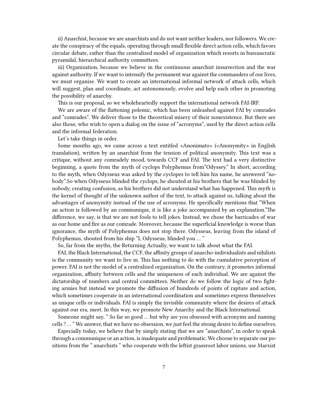ii) Anarchist, because we are anarchists and do not want neither leaders, nor followers. We create the conspiracy of the equals, operating through small flexible direct action cells, which favors circular debate, rather than the centralized model of organization which resorts in bureaucratic pyramidal, hierarchical authority committees.

iii) Organization, because we believe in the continuous anarchist insurrection and the war against authority. If we want to intensify the permanent war against the commanders of our lives, we must organize. We want to create an international informal network of attack cells, which will suggest, plan and coordinate, act autonomously, evolve and help each other in promoting the possibility of anarchy.

This is our proposal, so we wholeheartedly support the international network FAI-IRF.

We are aware of the flattening polemic, which has been unleashed against FAI by comrades and "comrades". We deliver those to the theoretical misery of their nonexistence. But there are also those, who wish to open a dialog on the issue of "acronyms", used by the direct action cells and the informal federation.

Let's take things in order.

Some months ago, we came across a text entitled «Anonimato» («Anonymity» in English translation), written by an anarchist from the tension of political anonymity. This text was a critique, without any comradely mood, towards CCF and FAI. The text had a very distinctive beginning, a quote from the myth of cyclops Polyphemus from"Odyssey." In short, according to the myth, when Odysseus was asked by the cyclopes to tell him his name, he answered "nobody".So when Odysseus blinded the cyclops, he shouted at his brothers that he was blinded by nobody, creating confusion, as his brothers did not understand what has happened. This myth is the kernel of thought of the unknown author of the text, to attack against us, talking about the advantages of anonymity instead of the use of acronyms. He specifically mentions that "When an action is followed by an communique, it is like a joke accompanied by an explanation."The difference, we say, is that we are not fools to tell jokes. Instead, we chose the barricades of war as our home and fire as our comrade. Moreover, because the superficial knowledge is worse than ignorance, the myth of Polyphemus does not stop there. Odysseus, leaving from the island of Polyphemus, shouted from his ship "I, Odysseus, blinded you … "

So, far from the myths, the Returning Actually, we want to talk about what the FAI.

FAI, the Black International, the CCF, the affinity groups of anarcho-individualists and nihilists is the community we want to live in. This has nothing to do with the cumulative perception of power. FAI is not the model of a centralized organization. On the contrary, it promotes informal organization, affinity between cells and the uniqueness of each individual. We are against the dictatorship of numbers and central committees. Neither do we follow the logic of two fighting armies but instead we promote the diffusion of hundreds of points of rapture and action, which sometimes cooperate in an international coordination and sometimes express themselves as unique cells or individuals. FAI is simply the invisible community where the desires of attack against our era, meet. In this way, we promote New Anarchy and the Black International.

Someone might say, " So far so good … but why are you obsessed with acronyms and naming cells ? … " We answer, that we have no obsession, we just feel the strong desire to define ourselves.

Especially today, we believe that by simply stating that we are "anarchists", in order to speak through a communique or an action, is inadequate and problematic. We choose to separate our positions from the " anarchists " who cooperate with the leftist grassroot labor unions, use Marxist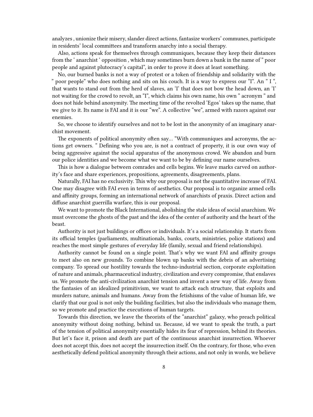analyzes , unionize their misery, slander direct actions, fantasize workers' communes, participate in residents' local committees and transform anarchy into a social therapy.

Also, actions speak for themselves through communiques, because they keep their distances from the ' anarchist ' opposition , which may sometimes burn down a bank in the name of " poor people and against plutocracy's capital", in order to prove it does at least something.

No, our burned banks is not a way of protest or a token of friendship and solidarity with the " poor people" who does nothing and sits on his couch. It is a way to express our "I". An " I ", that wants to stand out from the herd of slaves, an 'I' that does not bow the head down, an 'I' not waiting for the crowd to revolt, an "I", which claims his own name, his own " acronym " and does not hide behind anonymity. The meeting time of the revolted 'Egos' takes up the name, that we give to it. Its name is FAI and it is our "we". A collective "we", armed with razors against our enemies.

So, we choose to identify ourselves and not to be lost in the anonymity of an imaginary anarchist movement.

The exponents of political anonymity often say… "With communiques and acronyms, the actions get owners. " Defining who you are, is not a contract of property, it is our own way of being aggressive against the social apparatus of the anonymous crowd. We abandon and burn our police identities and we become what we want to be by defining our name ourselves.

This is how a dialogue between comrades and cells begins. We leave marks carved on authority's face and share experiences, propositions, agreements, disagreements, plans.

Naturally, FAI has no exclusivity. This why our proposal is not the quantitative increase of FAI. One may disagree with FAI even in terms of aesthetics. Our proposal is to organize armed cells and affinity groups, forming an international network of anarchists of praxis. Direct action and diffuse anarchist guerrilla warfare, this is our proposal.

We want to promote the Black International, abolishing the stale ideas of social anarchism. We must overcome the ghosts of the past and the idea of the center of authority and the heart of the beast.

Authority is not just buildings or offices or individuals. It's a social relationship. It starts from its official temples (parliaments, multinationals, banks, courts, ministries, police stations) and reaches the most simple gestures of everyday life (family, sexual and friend relationships).

Authority cannot be found on a single point. That's why we want FAI and affinity groups to meet also on new grounds. To combine blown up banks with the debris of an advertising company. To spread our hostility towards the techno-industrial section, corporate exploitation of nature and animals, pharmaceutical industry, civilization and every compromise, that enslaves us. We promote the anti-civilization anarchist tension and invent a new way of life. Away from the fantasies of an idealized primitivism, we want to attack each structure, that exploits and murders nature, animals and humans. Away from the fetishisms of the value of human life, we clarify that our goal is not only the building facilities, but also the individuals who manage them, so we promote and practice the executions of human targets.

Towards this direction, we leave the theorists of the "anarchist" galaxy, who preach political anonymity without doing nothing, behind us. Because, id we want to speak the truth, a part of the tension of political anonymity essentially hides its fear of repression, behind its theories. But let's face it, prison and death are part of the continuous anarchist insurrection. Whoever does not accept this, does not accept the insurrection itself. On the contrary, for those, who even aesthetically defend political anonymity through their actions, and not only in words, we believe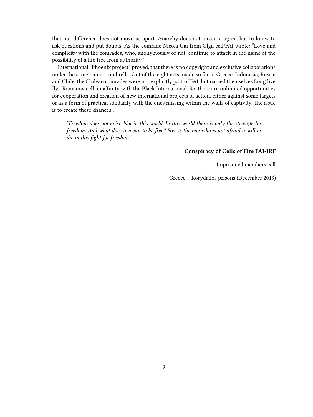that our difference does not move us apart. Anarchy does not mean to agree, but to know to ask questions and put doubts. As the comrade Nicola Gai from Olga cell/FAI wrote: "Love and complicity with the comrades, who, anonymously or not, continue to attack in the name of the possibility of a life free from authority."

International "Phoenix project" proved, that there is no copyright and exclusive collaborations under the same name – umbrella. Out of the eight acts, made so far in Greece, Indonesia, Russia and Chile, the Chilean comrades were not explicitly part of FAI, but named themselves Long live Ilya Romanov cell, in affinity with the Black International. So, there are unlimited opportunities for cooperation and creation of new international projects of action, either against some targets or as a form of practical solidarity with the ones missing within the walls of captivity. The issue is to create these chances…

*"Freedom does not exist. Not in this world. In this world there is only the struggle for freedom. And what does it mean to be free? Free is the one who is not afraid to kill or die in this fight for freedom"*

#### **Conspiracy of Cells of Fire FAI-IRF**

Imprisoned members cell

Greece – Korydallos prisons (December 2013)